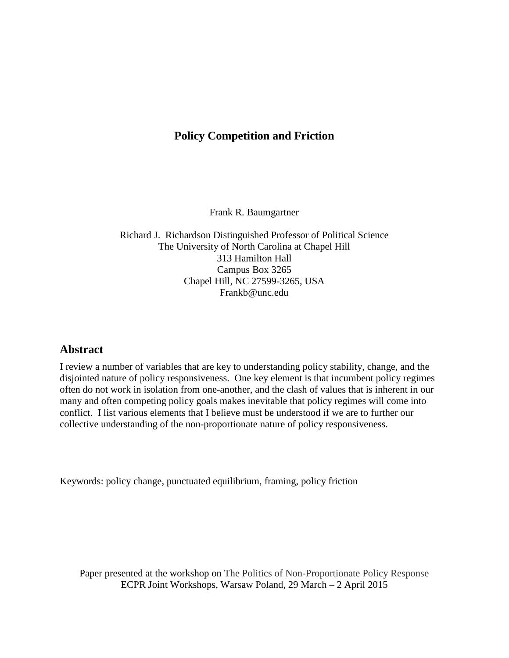# **Policy Competition and Friction**

Frank R. Baumgartner

Richard J. Richardson Distinguished Professor of Political Science The University of North Carolina at Chapel Hill 313 Hamilton Hall Campus Box 3265 Chapel Hill, NC 27599-3265, USA Frankb@unc.edu

# **Abstract**

I review a number of variables that are key to understanding policy stability, change, and the disjointed nature of policy responsiveness. One key element is that incumbent policy regimes often do not work in isolation from one-another, and the clash of values that is inherent in our many and often competing policy goals makes inevitable that policy regimes will come into conflict. I list various elements that I believe must be understood if we are to further our collective understanding of the non-proportionate nature of policy responsiveness.

Keywords: policy change, punctuated equilibrium, framing, policy friction

Paper presented at the workshop on The Politics of Non-Proportionate Policy Response ECPR Joint Workshops, Warsaw Poland, 29 March – 2 April 2015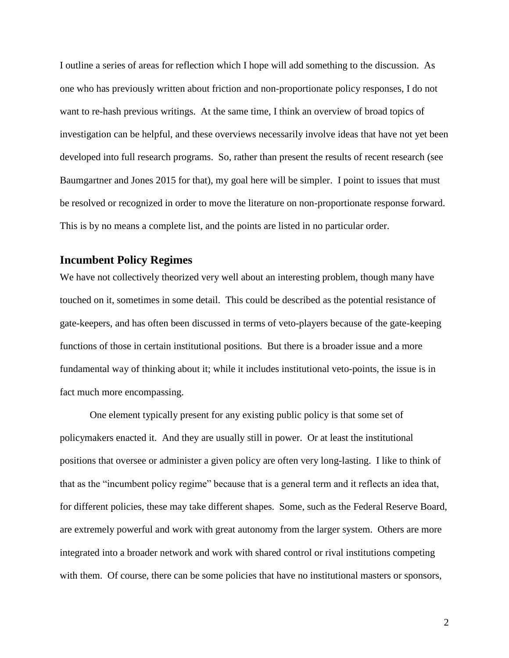I outline a series of areas for reflection which I hope will add something to the discussion. As one who has previously written about friction and non-proportionate policy responses, I do not want to re-hash previous writings. At the same time, I think an overview of broad topics of investigation can be helpful, and these overviews necessarily involve ideas that have not yet been developed into full research programs. So, rather than present the results of recent research (see Baumgartner and Jones 2015 for that), my goal here will be simpler. I point to issues that must be resolved or recognized in order to move the literature on non-proportionate response forward. This is by no means a complete list, and the points are listed in no particular order.

# **Incumbent Policy Regimes**

We have not collectively theorized very well about an interesting problem, though many have touched on it, sometimes in some detail. This could be described as the potential resistance of gate-keepers, and has often been discussed in terms of veto-players because of the gate-keeping functions of those in certain institutional positions. But there is a broader issue and a more fundamental way of thinking about it; while it includes institutional veto-points, the issue is in fact much more encompassing.

One element typically present for any existing public policy is that some set of policymakers enacted it. And they are usually still in power. Or at least the institutional positions that oversee or administer a given policy are often very long-lasting. I like to think of that as the "incumbent policy regime" because that is a general term and it reflects an idea that, for different policies, these may take different shapes. Some, such as the Federal Reserve Board, are extremely powerful and work with great autonomy from the larger system. Others are more integrated into a broader network and work with shared control or rival institutions competing with them. Of course, there can be some policies that have no institutional masters or sponsors,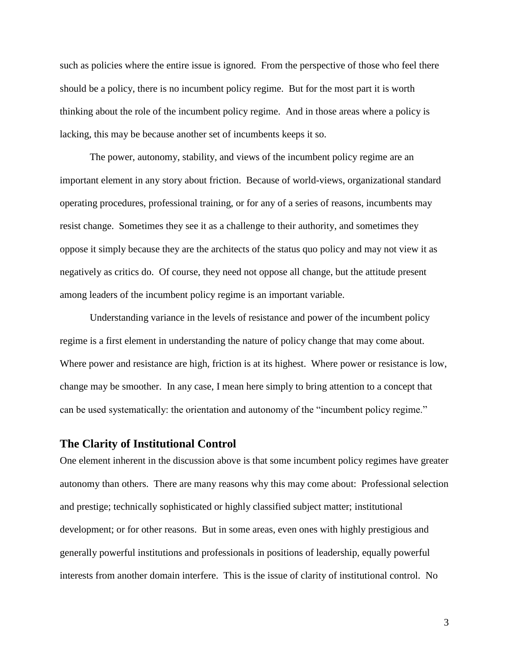such as policies where the entire issue is ignored. From the perspective of those who feel there should be a policy, there is no incumbent policy regime. But for the most part it is worth thinking about the role of the incumbent policy regime. And in those areas where a policy is lacking, this may be because another set of incumbents keeps it so.

The power, autonomy, stability, and views of the incumbent policy regime are an important element in any story about friction. Because of world-views, organizational standard operating procedures, professional training, or for any of a series of reasons, incumbents may resist change. Sometimes they see it as a challenge to their authority, and sometimes they oppose it simply because they are the architects of the status quo policy and may not view it as negatively as critics do. Of course, they need not oppose all change, but the attitude present among leaders of the incumbent policy regime is an important variable.

Understanding variance in the levels of resistance and power of the incumbent policy regime is a first element in understanding the nature of policy change that may come about. Where power and resistance are high, friction is at its highest. Where power or resistance is low, change may be smoother. In any case, I mean here simply to bring attention to a concept that can be used systematically: the orientation and autonomy of the "incumbent policy regime."

# **The Clarity of Institutional Control**

One element inherent in the discussion above is that some incumbent policy regimes have greater autonomy than others. There are many reasons why this may come about: Professional selection and prestige; technically sophisticated or highly classified subject matter; institutional development; or for other reasons. But in some areas, even ones with highly prestigious and generally powerful institutions and professionals in positions of leadership, equally powerful interests from another domain interfere. This is the issue of clarity of institutional control. No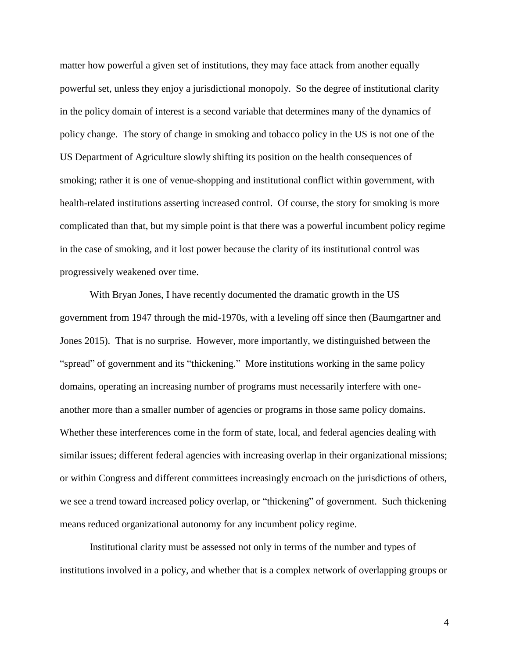matter how powerful a given set of institutions, they may face attack from another equally powerful set, unless they enjoy a jurisdictional monopoly. So the degree of institutional clarity in the policy domain of interest is a second variable that determines many of the dynamics of policy change. The story of change in smoking and tobacco policy in the US is not one of the US Department of Agriculture slowly shifting its position on the health consequences of smoking; rather it is one of venue-shopping and institutional conflict within government, with health-related institutions asserting increased control. Of course, the story for smoking is more complicated than that, but my simple point is that there was a powerful incumbent policy regime in the case of smoking, and it lost power because the clarity of its institutional control was progressively weakened over time.

With Bryan Jones, I have recently documented the dramatic growth in the US government from 1947 through the mid-1970s, with a leveling off since then (Baumgartner and Jones 2015). That is no surprise. However, more importantly, we distinguished between the "spread" of government and its "thickening." More institutions working in the same policy domains, operating an increasing number of programs must necessarily interfere with oneanother more than a smaller number of agencies or programs in those same policy domains. Whether these interferences come in the form of state, local, and federal agencies dealing with similar issues; different federal agencies with increasing overlap in their organizational missions; or within Congress and different committees increasingly encroach on the jurisdictions of others, we see a trend toward increased policy overlap, or "thickening" of government. Such thickening means reduced organizational autonomy for any incumbent policy regime.

Institutional clarity must be assessed not only in terms of the number and types of institutions involved in a policy, and whether that is a complex network of overlapping groups or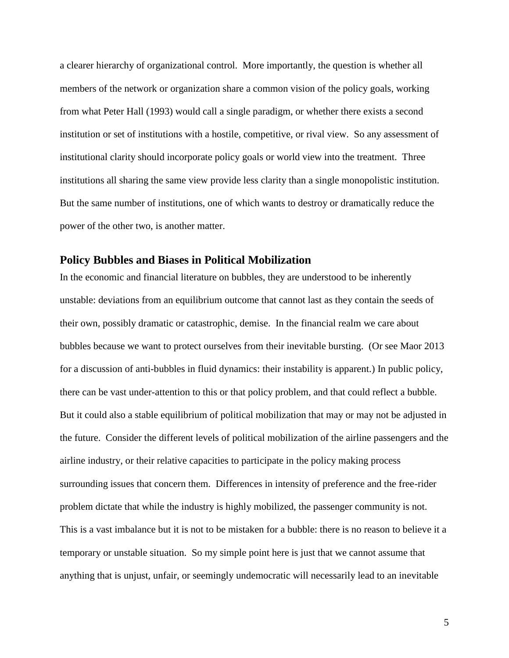a clearer hierarchy of organizational control. More importantly, the question is whether all members of the network or organization share a common vision of the policy goals, working from what Peter Hall (1993) would call a single paradigm, or whether there exists a second institution or set of institutions with a hostile, competitive, or rival view. So any assessment of institutional clarity should incorporate policy goals or world view into the treatment. Three institutions all sharing the same view provide less clarity than a single monopolistic institution. But the same number of institutions, one of which wants to destroy or dramatically reduce the power of the other two, is another matter.

# **Policy Bubbles and Biases in Political Mobilization**

In the economic and financial literature on bubbles, they are understood to be inherently unstable: deviations from an equilibrium outcome that cannot last as they contain the seeds of their own, possibly dramatic or catastrophic, demise. In the financial realm we care about bubbles because we want to protect ourselves from their inevitable bursting. (Or see Maor 2013 for a discussion of anti-bubbles in fluid dynamics: their instability is apparent.) In public policy, there can be vast under-attention to this or that policy problem, and that could reflect a bubble. But it could also a stable equilibrium of political mobilization that may or may not be adjusted in the future. Consider the different levels of political mobilization of the airline passengers and the airline industry, or their relative capacities to participate in the policy making process surrounding issues that concern them. Differences in intensity of preference and the free-rider problem dictate that while the industry is highly mobilized, the passenger community is not. This is a vast imbalance but it is not to be mistaken for a bubble: there is no reason to believe it a temporary or unstable situation. So my simple point here is just that we cannot assume that anything that is unjust, unfair, or seemingly undemocratic will necessarily lead to an inevitable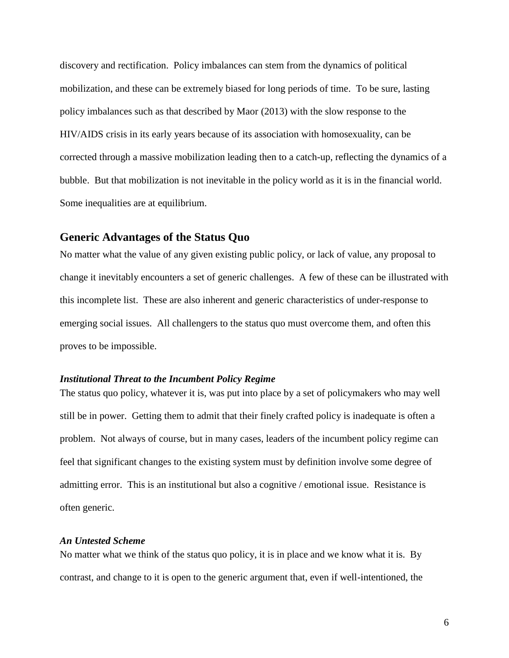discovery and rectification. Policy imbalances can stem from the dynamics of political mobilization, and these can be extremely biased for long periods of time. To be sure, lasting policy imbalances such as that described by Maor (2013) with the slow response to the HIV/AIDS crisis in its early years because of its association with homosexuality, can be corrected through a massive mobilization leading then to a catch-up, reflecting the dynamics of a bubble. But that mobilization is not inevitable in the policy world as it is in the financial world. Some inequalities are at equilibrium.

### **Generic Advantages of the Status Quo**

No matter what the value of any given existing public policy, or lack of value, any proposal to change it inevitably encounters a set of generic challenges. A few of these can be illustrated with this incomplete list. These are also inherent and generic characteristics of under-response to emerging social issues. All challengers to the status quo must overcome them, and often this proves to be impossible.

#### *Institutional Threat to the Incumbent Policy Regime*

The status quo policy, whatever it is, was put into place by a set of policymakers who may well still be in power. Getting them to admit that their finely crafted policy is inadequate is often a problem. Not always of course, but in many cases, leaders of the incumbent policy regime can feel that significant changes to the existing system must by definition involve some degree of admitting error. This is an institutional but also a cognitive / emotional issue. Resistance is often generic.

#### *An Untested Scheme*

No matter what we think of the status quo policy, it is in place and we know what it is. By contrast, and change to it is open to the generic argument that, even if well-intentioned, the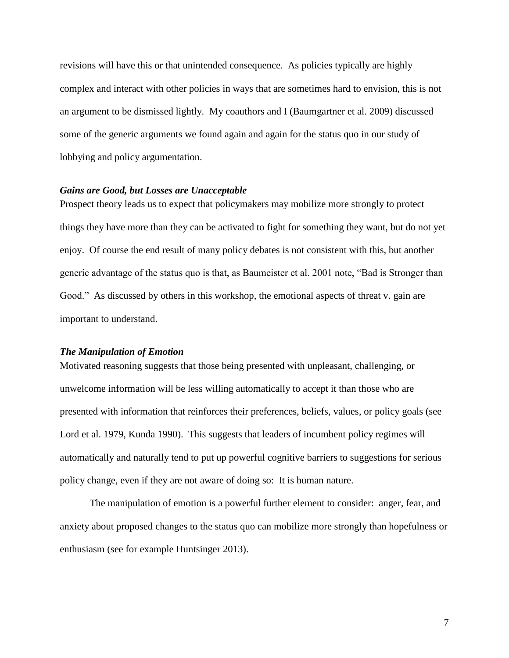revisions will have this or that unintended consequence. As policies typically are highly complex and interact with other policies in ways that are sometimes hard to envision, this is not an argument to be dismissed lightly. My coauthors and I (Baumgartner et al. 2009) discussed some of the generic arguments we found again and again for the status quo in our study of lobbying and policy argumentation.

#### *Gains are Good, but Losses are Unacceptable*

Prospect theory leads us to expect that policymakers may mobilize more strongly to protect things they have more than they can be activated to fight for something they want, but do not yet enjoy. Of course the end result of many policy debates is not consistent with this, but another generic advantage of the status quo is that, as Baumeister et al. 2001 note, "Bad is Stronger than Good." As discussed by others in this workshop, the emotional aspects of threat v. gain are important to understand.

### *The Manipulation of Emotion*

Motivated reasoning suggests that those being presented with unpleasant, challenging, or unwelcome information will be less willing automatically to accept it than those who are presented with information that reinforces their preferences, beliefs, values, or policy goals (see Lord et al. 1979, Kunda 1990). This suggests that leaders of incumbent policy regimes will automatically and naturally tend to put up powerful cognitive barriers to suggestions for serious policy change, even if they are not aware of doing so: It is human nature.

The manipulation of emotion is a powerful further element to consider: anger, fear, and anxiety about proposed changes to the status quo can mobilize more strongly than hopefulness or enthusiasm (see for example Huntsinger 2013).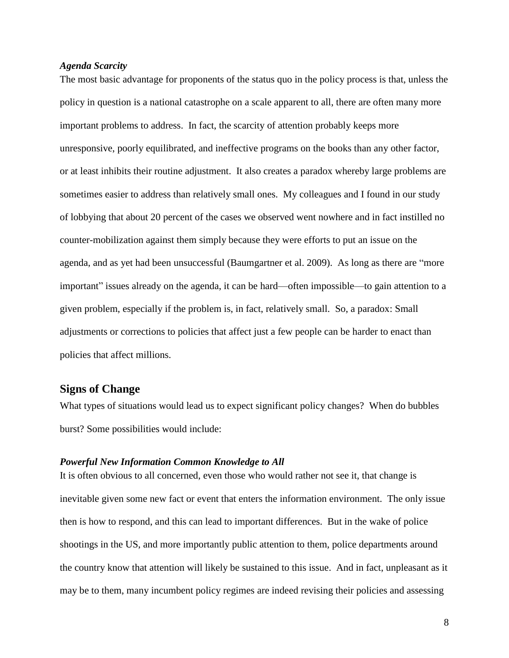#### *Agenda Scarcity*

The most basic advantage for proponents of the status quo in the policy process is that, unless the policy in question is a national catastrophe on a scale apparent to all, there are often many more important problems to address. In fact, the scarcity of attention probably keeps more unresponsive, poorly equilibrated, and ineffective programs on the books than any other factor, or at least inhibits their routine adjustment. It also creates a paradox whereby large problems are sometimes easier to address than relatively small ones. My colleagues and I found in our study of lobbying that about 20 percent of the cases we observed went nowhere and in fact instilled no counter-mobilization against them simply because they were efforts to put an issue on the agenda, and as yet had been unsuccessful (Baumgartner et al. 2009). As long as there are "more important" issues already on the agenda, it can be hard—often impossible—to gain attention to a given problem, especially if the problem is, in fact, relatively small. So, a paradox: Small adjustments or corrections to policies that affect just a few people can be harder to enact than policies that affect millions.

### **Signs of Change**

What types of situations would lead us to expect significant policy changes? When do bubbles burst? Some possibilities would include:

### *Powerful New Information Common Knowledge to All*

It is often obvious to all concerned, even those who would rather not see it, that change is inevitable given some new fact or event that enters the information environment. The only issue then is how to respond, and this can lead to important differences. But in the wake of police shootings in the US, and more importantly public attention to them, police departments around the country know that attention will likely be sustained to this issue. And in fact, unpleasant as it may be to them, many incumbent policy regimes are indeed revising their policies and assessing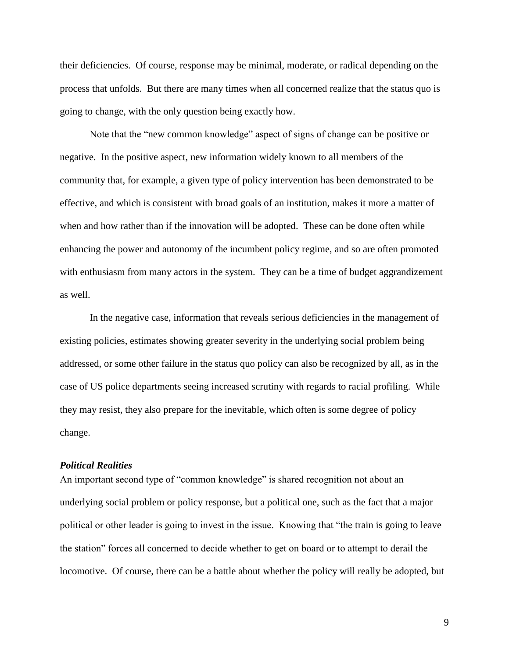their deficiencies. Of course, response may be minimal, moderate, or radical depending on the process that unfolds. But there are many times when all concerned realize that the status quo is going to change, with the only question being exactly how.

Note that the "new common knowledge" aspect of signs of change can be positive or negative. In the positive aspect, new information widely known to all members of the community that, for example, a given type of policy intervention has been demonstrated to be effective, and which is consistent with broad goals of an institution, makes it more a matter of when and how rather than if the innovation will be adopted. These can be done often while enhancing the power and autonomy of the incumbent policy regime, and so are often promoted with enthusiasm from many actors in the system. They can be a time of budget aggrandizement as well.

In the negative case, information that reveals serious deficiencies in the management of existing policies, estimates showing greater severity in the underlying social problem being addressed, or some other failure in the status quo policy can also be recognized by all, as in the case of US police departments seeing increased scrutiny with regards to racial profiling. While they may resist, they also prepare for the inevitable, which often is some degree of policy change.

#### *Political Realities*

An important second type of "common knowledge" is shared recognition not about an underlying social problem or policy response, but a political one, such as the fact that a major political or other leader is going to invest in the issue. Knowing that "the train is going to leave the station" forces all concerned to decide whether to get on board or to attempt to derail the locomotive. Of course, there can be a battle about whether the policy will really be adopted, but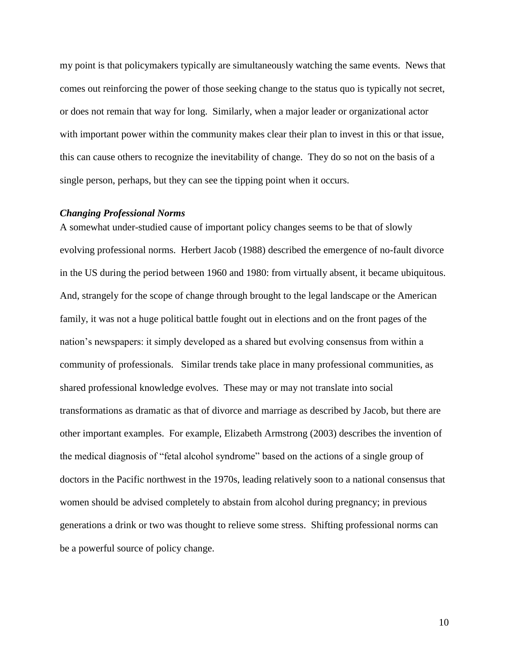my point is that policymakers typically are simultaneously watching the same events. News that comes out reinforcing the power of those seeking change to the status quo is typically not secret, or does not remain that way for long. Similarly, when a major leader or organizational actor with important power within the community makes clear their plan to invest in this or that issue, this can cause others to recognize the inevitability of change. They do so not on the basis of a single person, perhaps, but they can see the tipping point when it occurs.

#### *Changing Professional Norms*

A somewhat under-studied cause of important policy changes seems to be that of slowly evolving professional norms. Herbert Jacob (1988) described the emergence of no-fault divorce in the US during the period between 1960 and 1980: from virtually absent, it became ubiquitous. And, strangely for the scope of change through brought to the legal landscape or the American family, it was not a huge political battle fought out in elections and on the front pages of the nation's newspapers: it simply developed as a shared but evolving consensus from within a community of professionals. Similar trends take place in many professional communities, as shared professional knowledge evolves. These may or may not translate into social transformations as dramatic as that of divorce and marriage as described by Jacob, but there are other important examples. For example, Elizabeth Armstrong (2003) describes the invention of the medical diagnosis of "fetal alcohol syndrome" based on the actions of a single group of doctors in the Pacific northwest in the 1970s, leading relatively soon to a national consensus that women should be advised completely to abstain from alcohol during pregnancy; in previous generations a drink or two was thought to relieve some stress. Shifting professional norms can be a powerful source of policy change.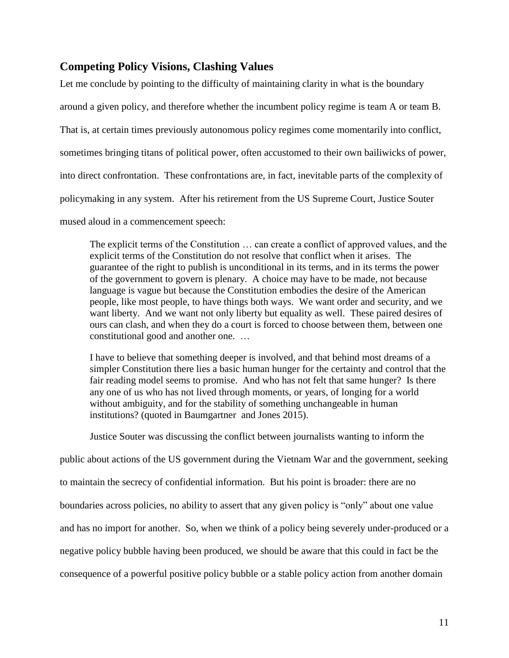# **Competing Policy Visions, Clashing Values**

Let me conclude by pointing to the difficulty of maintaining clarity in what is the boundary around a given policy, and therefore whether the incumbent policy regime is team A or team B. That is, at certain times previously autonomous policy regimes come momentarily into conflict, sometimes bringing titans of political power, often accustomed to their own bailiwicks of power, into direct confrontation. These confrontations are, in fact, inevitable parts of the complexity of policymaking in any system. After his retirement from the US Supreme Court, Justice Souter mused aloud in a commencement speech:

The explicit terms of the Constitution … can create a conflict of approved values, and the explicit terms of the Constitution do not resolve that conflict when it arises. The guarantee of the right to publish is unconditional in its terms, and in its terms the power of the government to govern is plenary. A choice may have to be made, not because language is vague but because the Constitution embodies the desire of the American people, like most people, to have things both ways. We want order and security, and we want liberty. And we want not only liberty but equality as well. These paired desires of ours can clash, and when they do a court is forced to choose between them, between one constitutional good and another one. …

I have to believe that something deeper is involved, and that behind most dreams of a simpler Constitution there lies a basic human hunger for the certainty and control that the fair reading model seems to promise. And who has not felt that same hunger? Is there any one of us who has not lived through moments, or years, of longing for a world without ambiguity, and for the stability of something unchangeable in human institutions? (quoted in Baumgartner and Jones 2015).

Justice Souter was discussing the conflict between journalists wanting to inform the

public about actions of the US government during the Vietnam War and the government, seeking to maintain the secrecy of confidential information. But his point is broader: there are no boundaries across policies, no ability to assert that any given policy is "only" about one value and has no import for another. So, when we think of a policy being severely under-produced or a negative policy bubble having been produced, we should be aware that this could in fact be the consequence of a powerful positive policy bubble or a stable policy action from another domain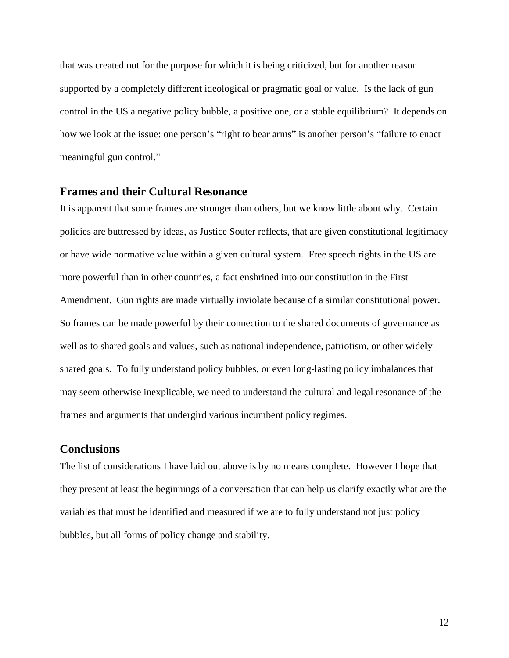that was created not for the purpose for which it is being criticized, but for another reason supported by a completely different ideological or pragmatic goal or value. Is the lack of gun control in the US a negative policy bubble, a positive one, or a stable equilibrium? It depends on how we look at the issue: one person's "right to bear arms" is another person's "failure to enact meaningful gun control."

### **Frames and their Cultural Resonance**

It is apparent that some frames are stronger than others, but we know little about why. Certain policies are buttressed by ideas, as Justice Souter reflects, that are given constitutional legitimacy or have wide normative value within a given cultural system. Free speech rights in the US are more powerful than in other countries, a fact enshrined into our constitution in the First Amendment. Gun rights are made virtually inviolate because of a similar constitutional power. So frames can be made powerful by their connection to the shared documents of governance as well as to shared goals and values, such as national independence, patriotism, or other widely shared goals. To fully understand policy bubbles, or even long-lasting policy imbalances that may seem otherwise inexplicable, we need to understand the cultural and legal resonance of the frames and arguments that undergird various incumbent policy regimes.

# **Conclusions**

The list of considerations I have laid out above is by no means complete. However I hope that they present at least the beginnings of a conversation that can help us clarify exactly what are the variables that must be identified and measured if we are to fully understand not just policy bubbles, but all forms of policy change and stability.

12